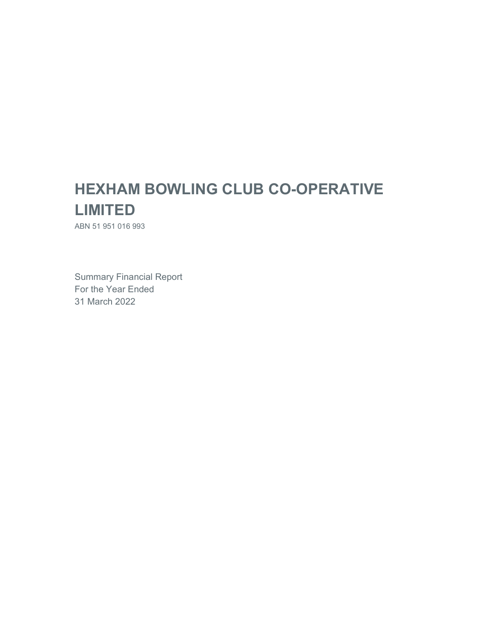# **HEXHAM BOWLING CLUB CO-OPERATIVE LIMITED**

ABN 51 951 016 993

Summary Financial Report For the Year Ended 31 March 2022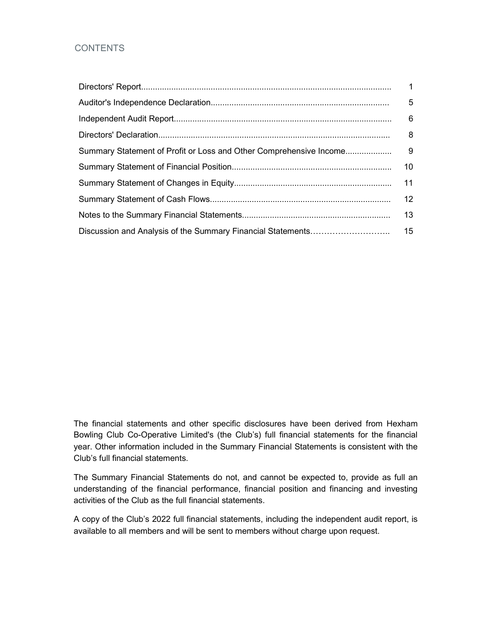## **CONTENTS**

| 12 |
|----|
| 13 |
|    |

The financial statements and other specific disclosures have been derived from Hexham Bowling Club Co-Operative Limited's (the Club's) full financial statements for the financial year. Other information included in the Summary Financial Statements is consistent with the Club's full financial statements.

The Summary Financial Statements do not, and cannot be expected to, provide as full an understanding of the financial performance, financial position and financing and investing activities of the Club as the full financial statements.

A copy of the Club's 2022 full financial statements, including the independent audit report, is available to all members and will be sent to members without charge upon request.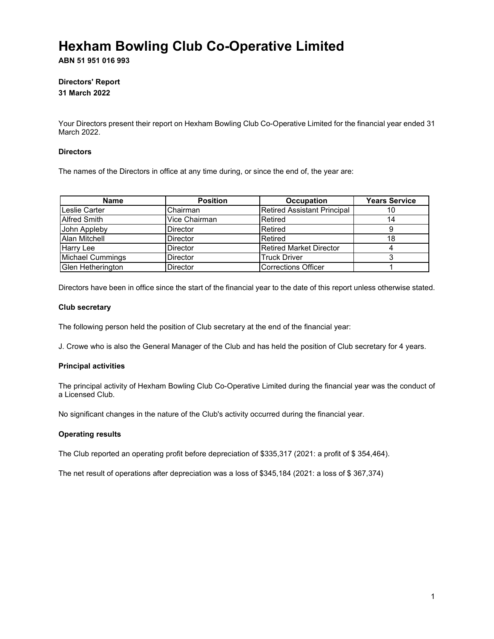**ABN 51 951 016 993**

## **Directors' Report 31 March 2022**

Your Directors present their report on Hexham Bowling Club Co-Operative Limited for the financial year ended 31 March 2022.

### **Directors**

The names of the Directors in office at any time during, or since the end of, the year are:

| <b>Name</b>             | <b>Position</b> | <b>Occupation</b>                  | <b>Years Service</b> |
|-------------------------|-----------------|------------------------------------|----------------------|
| Leslie Carter           | Chairman        | <b>Retired Assistant Principal</b> | 10                   |
| <b>Alfred Smith</b>     | Vice Chairman   | Retired                            |                      |
| John Appleby            | <b>Director</b> | Retired                            |                      |
| Alan Mitchell           | <b>Director</b> | Retired                            | 18                   |
| Harry Lee               | <b>Director</b> | <b>Retired Market Director</b>     |                      |
| <b>Michael Cummings</b> | <b>Director</b> | <b>Truck Driver</b>                |                      |
| Glen Hetherington       | <b>Director</b> | <b>Corrections Officer</b>         |                      |

Directors have been in office since the start of the financial year to the date of this report unless otherwise stated.

### **Club secretary**

The following person held the position of Club secretary at the end of the financial year:

J. Crowe who is also the General Manager of the Club and has held the position of Club secretary for 4 years.

## **Principal activities**

The principal activity of Hexham Bowling Club Co-Operative Limited during the financial year was the conduct of a Licensed Club.

No significant changes in the nature of the Club's activity occurred during the financial year.

## **Operating results**

The Club reported an operating profit before depreciation of \$335,317 (2021: a profit of \$ 354,464).

The net result of operations after depreciation was a loss of \$345,184 (2021: a loss of \$ 367,374)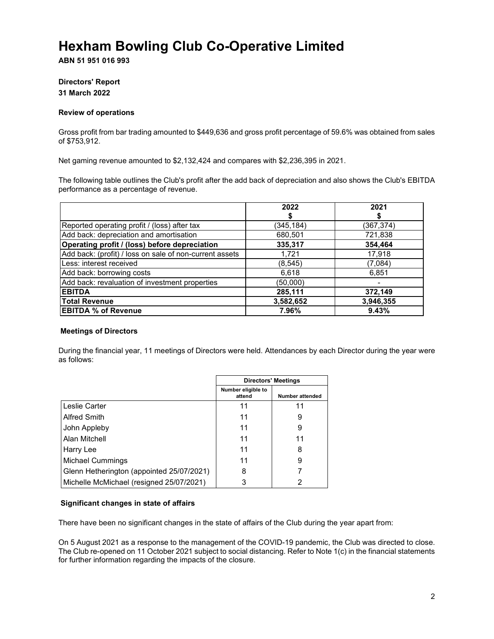**ABN 51 951 016 993**

## **Directors' Report 31 March 2022**

### **Review of operations**

Gross profit from bar trading amounted to \$449,636 and gross profit percentage of 59.6% was obtained from sales of \$753,912.

Net gaming revenue amounted to \$2,132,424 and compares with \$2,236,395 in 2021.

The following table outlines the Club's profit after the add back of depreciation and also shows the Club's EBITDA performance as a percentage of revenue.

|                                                         | 2022       | 2021       |
|---------------------------------------------------------|------------|------------|
|                                                         |            |            |
| Reported operating profit / (loss) after tax            | (345, 184) | (367, 374) |
| Add back: depreciation and amortisation                 | 680,501    | 721,838    |
| Operating profit / (loss) before depreciation           | 335,317    | 354,464    |
| Add back: (profit) / loss on sale of non-current assets | 1,721      | 17,918     |
| Less: interest received                                 | (8, 545)   | (7,084)    |
| Add back: borrowing costs                               | 6,618      | 6,851      |
| Add back: revaluation of investment properties          | (50,000)   |            |
| <b>EBITDA</b>                                           | 285,111    | 372,149    |
| <b>Total Revenue</b>                                    | 3,582,652  | 3,946,355  |
| <b>EBITDA % of Revenue</b>                              | 7.96%      | 9.43%      |

## **Meetings of Directors**

During the financial year, 11 meetings of Directors were held. Attendances by each Director during the year were as follows:

|                                           | <b>Directors' Meetings</b>   |                 |
|-------------------------------------------|------------------------------|-----------------|
|                                           | Number eligible to<br>attend | Number attended |
| Leslie Carter                             | 11                           | 11              |
| <b>Alfred Smith</b>                       | 11                           | 9               |
| John Appleby                              | 11                           | 9               |
| Alan Mitchell                             | 11                           | 11              |
| Harry Lee                                 | 11                           | 8               |
| <b>Michael Cummings</b>                   | 11                           | 9               |
| Glenn Hetherington (appointed 25/07/2021) | 8                            |                 |
| Michelle McMichael (resigned 25/07/2021)  | 3                            | 2               |

## **Significant changes in state of affairs**

There have been no significant changes in the state of affairs of the Club during the year apart from:

On 5 August 2021 as a response to the management of the COVID-19 pandemic, the Club was directed to close. The Club re-opened on 11 October 2021 subject to social distancing. Refer to Note 1(c) in the financial statements for further information regarding the impacts of the closure.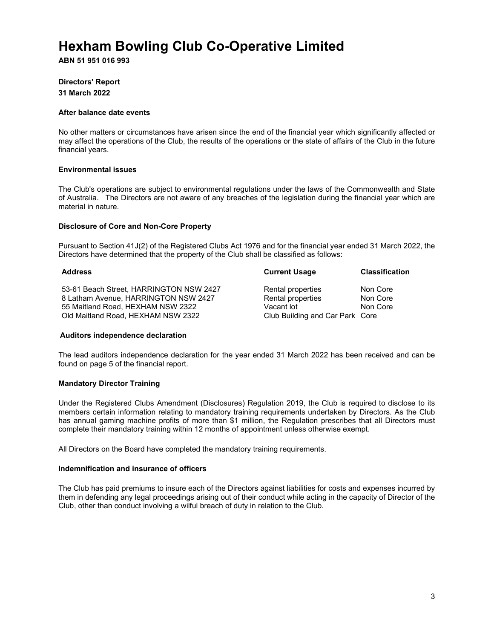**ABN 51 951 016 993**

## **Directors' Report 31 March 2022**

#### **After balance date events**

No other matters or circumstances have arisen since the end of the financial year which significantly affected or may affect the operations of the Club, the results of the operations or the state of affairs of the Club in the future financial years.

### **Environmental issues**

The Club's operations are subject to environmental regulations under the laws of the Commonwealth and State of Australia. The Directors are not aware of any breaches of the legislation during the financial year which are material in nature.

#### **Disclosure of Core and Non-Core Property**

Pursuant to Section 41J(2) of the Registered Clubs Act 1976 and for the financial year ended 31 March 2022, the Directors have determined that the property of the Club shall be classified as follows:

| <b>Address</b>                          | <b>Current Usage</b>            | <b>Classification</b> |
|-----------------------------------------|---------------------------------|-----------------------|
| 53-61 Beach Street, HARRINGTON NSW 2427 | Rental properties               | Non Core              |
| 8 Latham Avenue, HARRINGTON NSW 2427    | Rental properties               | Non Core              |
| 55 Maitland Road, HEXHAM NSW 2322       | Vacant lot                      | Non Core              |
| Old Maitland Road, HEXHAM NSW 2322      | Club Building and Car Park Core |                       |

#### **Auditors independence declaration**

The lead auditors independence declaration for the year ended 31 March 2022 has been received and can be found on page 5 of the financial report.

#### **Mandatory Director Training**

Under the Registered Clubs Amendment (Disclosures) Regulation 2019, the Club is required to disclose to its members certain information relating to mandatory training requirements undertaken by Directors. As the Club has annual gaming machine profits of more than \$1 million, the Regulation prescribes that all Directors must complete their mandatory training within 12 months of appointment unless otherwise exempt.

All Directors on the Board have completed the mandatory training requirements.

#### **Indemnification and insurance of officers**

The Club has paid premiums to insure each of the Directors against liabilities for costs and expenses incurred by them in defending any legal proceedings arising out of their conduct while acting in the capacity of Director of the Club, other than conduct involving a wilful breach of duty in relation to the Club.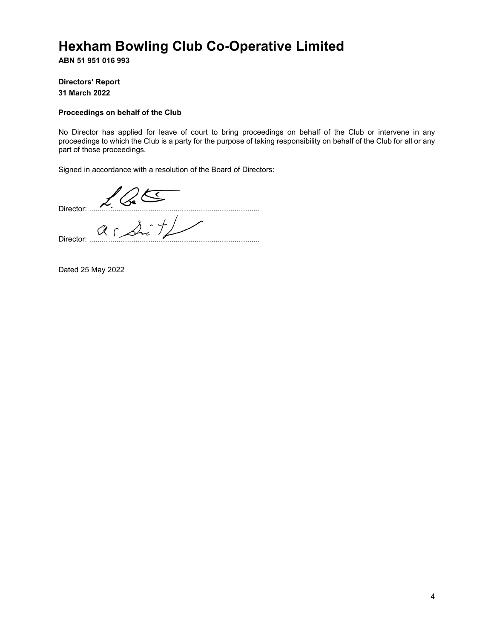**ABN 51 951 016 993**

**Directors' Report 31 March 2022** 

### **Proceedings on behalf of the Club**

No Director has applied for leave of court to bring proceedings on behalf of the Club or intervene in any proceedings to which the Club is a party for the purpose of taking responsibility on behalf of the Club for all or any part of those proceedings.

Signed in accordance with a resolution of the Board of Directors:

Director: ................................................................................. Director: .................................................................................

Dated 25 May 2022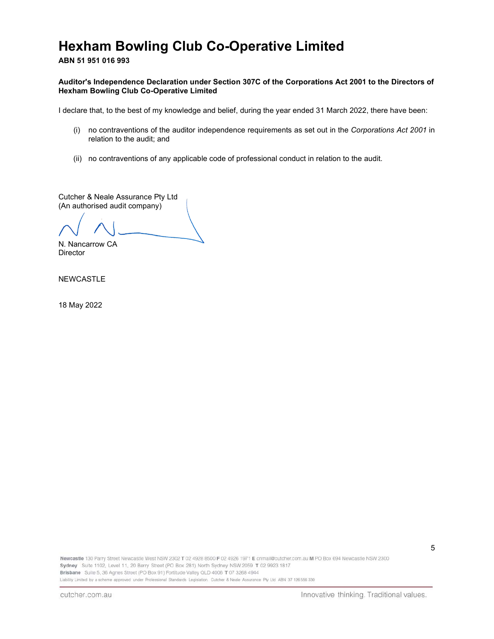**ABN 51 951 016 993**

### **Auditor's Independence Declaration under Section 307C of the Corporations Act 2001 to the Directors of Hexham Bowling Club Co-Operative Limited**

I declare that, to the best of my knowledge and belief, during the year ended 31 March 2022, there have been:

- (i) no contraventions of the auditor independence requirements as set out in the *Corporations Act 2001* in relation to the audit; and
- (ii) no contraventions of any applicable code of professional conduct in relation to the audit.

Cutcher & Neale Assurance Pty Ltd (An authorised audit company)

N. Nancarrow CA

Director

NEWCASTLE

18 May 2022

Newcastle 130 Parry Street Newcastle West NSW 2302 T 02 4928 8500 F 02 4926 1971 E cnmail@cutcher.com.au M PO Box 694 Newcastle NSW 2300 Sydney Suite 1102, Level 11, 20 Berry Street (PO Box 281) North Sydney NSW 2059 T 02 9923 1817 Brisbane Suite 5, 36 Agnes Street (PO Box 91) Fortitude Valley QLD 4006 T 07 3268 4944 Liability Limited by a scheme approved under Professional Standards Legislation. Cutcher & Neale Assurance Pty Ltd ABN 37 126 556 330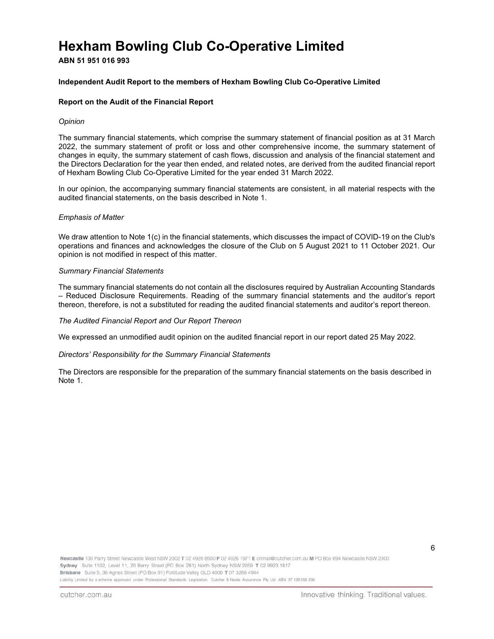**ABN 51 951 016 993**

### **Independent Audit Report to the members of Hexham Bowling Club Co-Operative Limited**

### **Report on the Audit of the Financial Report**

#### *Opinion*

The summary financial statements, which comprise the summary statement of financial position as at 31 March 2022, the summary statement of profit or loss and other comprehensive income, the summary statement of changes in equity, the summary statement of cash flows, discussion and analysis of the financial statement and the Directors Declaration for the year then ended, and related notes, are derived from the audited financial report of Hexham Bowling Club Co-Operative Limited for the year ended 31 March 2022.

In our opinion, the accompanying summary financial statements are consistent, in all material respects with the audited financial statements, on the basis described in Note 1.

#### *Emphasis of Matter*

We draw attention to Note 1(c) in the financial statements, which discusses the impact of COVID-19 on the Club's operations and finances and acknowledges the closure of the Club on 5 August 2021 to 11 October 2021. Our opinion is not modified in respect of this matter.

#### *Summary Financial Statements*

The summary financial statements do not contain all the disclosures required by Australian Accounting Standards – Reduced Disclosure Requirements. Reading of the summary financial statements and the auditor's report thereon, therefore, is not a substituted for reading the audited financial statements and auditor's report thereon.

#### *The Audited Financial Report and Our Report Thereon*

We expressed an unmodified audit opinion on the audited financial report in our report dated 25 May 2022.

#### *Directors' Responsibility for the Summary Financial Statements*

The Directors are responsible for the preparation of the summary financial statements on the basis described in Note 1.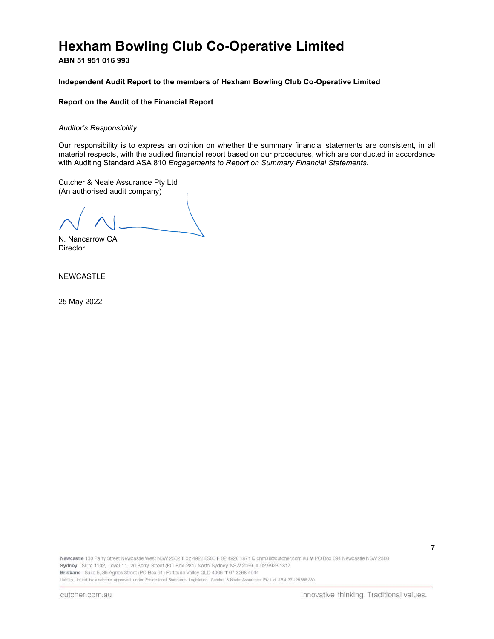**ABN 51 951 016 993**

### **Independent Audit Report to the members of Hexham Bowling Club Co-Operative Limited**

### **Report on the Audit of the Financial Report**

#### *Auditor's Responsibility*

Our responsibility is to express an opinion on whether the summary financial statements are consistent, in all material respects, with the audited financial report based on our procedures, which are conducted in accordance with Auditing Standard ASA 810 *Engagements to Report on Summary Financial Statements.* 

Cutcher & Neale Assurance Pty Ltd (An authorised audit company)

N. Nancarrow CA Director

NEWCASTLE

25 May 2022

Newcastle 130 Parry Street Newcastle West NSW 2302 T 02 4928 8500 F 02 4926 1971 E cnmail@cutcher.com.au M PO Box 694 Newcastle NSW 2300 Sydney Suite 1102, Level 11, 20 Berry Street (PO Box 281) North Sydney NSW 2059 T 02 9923 1817 Brisbane Suite 5, 36 Agnes Street (PO Box 91) Fortitude Valley QLD 4006 T 07 3268 4944 Liability Limited by a scheme approved under Professional Standards Legislation. Cutcher & Neale Assurance Pty Ltd ABN 37 126 556 330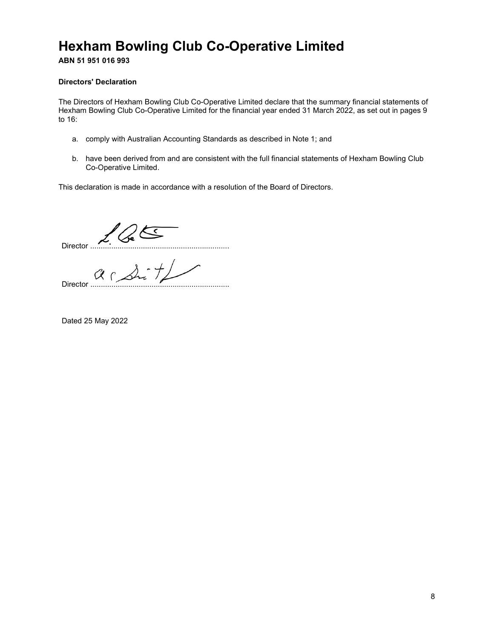**ABN 51 951 016 993**

## **Directors' Declaration**

The Directors of Hexham Bowling Club Co-Operative Limited declare that the summary financial statements of Hexham Bowling Club Co-Operative Limited for the financial year ended 31 March 2022, as set out in pages 9 to 16:

- a. comply with Australian Accounting Standards as described in Note 1; and
- b. have been derived from and are consistent with the full financial statements of Hexham Bowling Club Co-Operative Limited.

This declaration is made in accordance with a resolution of the Board of Directors.

Director ..................................................................

Director ..................................................................

Dated 25 May 2022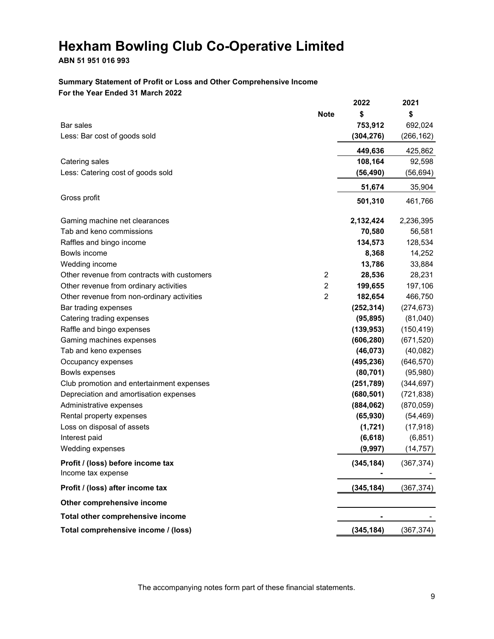## **ABN 51 951 016 993**

## **Summary Statement of Profit or Loss and Other Comprehensive Income For the Year Ended 31 March 2022**

|                                                         |                | 2022       | 2021       |
|---------------------------------------------------------|----------------|------------|------------|
|                                                         | <b>Note</b>    | \$         | \$         |
| Bar sales                                               |                | 753,912    | 692,024    |
| Less: Bar cost of goods sold                            |                | (304, 276) | (266, 162) |
|                                                         |                | 449,636    | 425,862    |
| Catering sales                                          |                | 108,164    | 92,598     |
| Less: Catering cost of goods sold                       |                | (56, 490)  | (56, 694)  |
|                                                         |                | 51,674     | 35,904     |
| Gross profit                                            |                | 501,310    | 461,766    |
|                                                         |                |            |            |
| Gaming machine net clearances                           |                | 2,132,424  | 2,236,395  |
| Tab and keno commissions                                |                | 70,580     | 56,581     |
| Raffles and bingo income                                |                | 134,573    | 128,534    |
| Bowls income                                            |                | 8,368      | 14,252     |
| Wedding income                                          |                | 13,786     | 33,884     |
| Other revenue from contracts with customers             | 2              | 28,536     | 28,231     |
| Other revenue from ordinary activities                  | $\overline{c}$ | 199,655    | 197,106    |
| Other revenue from non-ordinary activities              | $\overline{2}$ | 182,654    | 466,750    |
| Bar trading expenses                                    |                | (252, 314) | (274, 673) |
| Catering trading expenses                               |                | (95, 895)  | (81,040)   |
| Raffle and bingo expenses                               |                | (139, 953) | (150, 419) |
| Gaming machines expenses                                |                | (606, 280) | (671, 520) |
| Tab and keno expenses                                   |                | (46, 073)  | (40, 082)  |
| Occupancy expenses                                      |                | (495, 236) | (646, 570) |
| Bowls expenses                                          |                | (80, 701)  | (95,980)   |
| Club promotion and entertainment expenses               |                | (251, 789) | (344, 697) |
| Depreciation and amortisation expenses                  |                | (680, 501) | (721, 838) |
| Administrative expenses                                 |                | (884, 062) | (870, 059) |
| Rental property expenses                                |                | (65, 930)  | (54, 469)  |
| Loss on disposal of assets                              |                | (1,721)    | (17, 918)  |
| Interest paid                                           |                | (6, 618)   | (6, 851)   |
| Wedding expenses                                        |                | (9,997)    | (14, 757)  |
| Profit / (loss) before income tax<br>Income tax expense |                | (345, 184) | (367, 374) |
| Profit / (loss) after income tax                        |                | (345, 184) | (367, 374) |
| Other comprehensive income                              |                |            |            |
| Total other comprehensive income                        |                |            |            |
| Total comprehensive income / (loss)                     |                | (345, 184) | (367, 374) |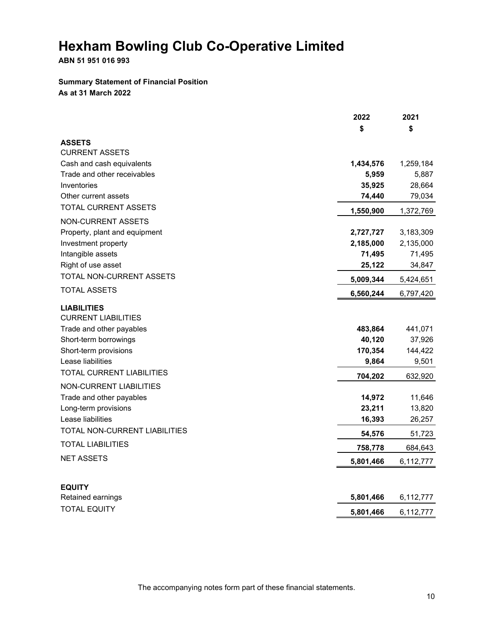**ABN 51 951 016 993**

## **Summary Statement of Financial Position As at 31 March 2022**

|                                  | 2022      | 2021      |
|----------------------------------|-----------|-----------|
|                                  | \$        | \$        |
| <b>ASSETS</b>                    |           |           |
| <b>CURRENT ASSETS</b>            |           |           |
| Cash and cash equivalents        | 1,434,576 | 1,259,184 |
| Trade and other receivables      | 5,959     | 5,887     |
| Inventories                      | 35,925    | 28,664    |
| Other current assets             | 74,440    | 79,034    |
| TOTAL CURRENT ASSETS             | 1,550,900 | 1,372,769 |
| NON-CURRENT ASSETS               |           |           |
| Property, plant and equipment    | 2,727,727 | 3,183,309 |
| Investment property              | 2,185,000 | 2,135,000 |
| Intangible assets                | 71,495    | 71,495    |
| Right of use asset               | 25,122    | 34,847    |
| TOTAL NON-CURRENT ASSETS         | 5,009,344 | 5,424,651 |
| <b>TOTAL ASSETS</b>              | 6,560,244 | 6,797,420 |
| <b>LIABILITIES</b>               |           |           |
| <b>CURRENT LIABILITIES</b>       |           |           |
| Trade and other payables         | 483,864   | 441,071   |
| Short-term borrowings            | 40,120    | 37,926    |
| Short-term provisions            | 170,354   | 144,422   |
| Lease liabilities                | 9,864     | 9,501     |
| <b>TOTAL CURRENT LIABILITIES</b> | 704,202   | 632,920   |
| <b>NON-CURRENT LIABILITIES</b>   |           |           |
| Trade and other payables         | 14,972    | 11,646    |
| Long-term provisions             | 23,211    | 13,820    |
| Lease liabilities                | 16,393    | 26,257    |
| TOTAL NON-CURRENT LIABILITIES    | 54,576    | 51,723    |
| <b>TOTAL LIABILITIES</b>         | 758,778   | 684,643   |
| <b>NET ASSETS</b>                | 5,801,466 | 6,112,777 |
|                                  |           |           |
| <b>EQUITY</b>                    |           |           |
| Retained earnings                | 5,801,466 | 6,112,777 |
| <b>TOTAL EQUITY</b>              | 5,801,466 | 6,112,777 |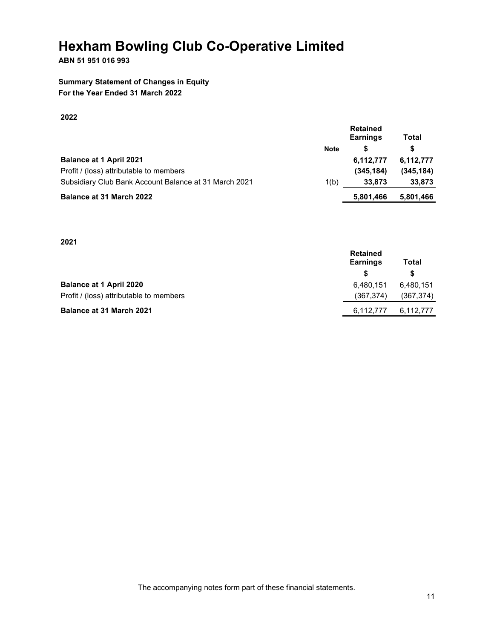## **ABN 51 951 016 993**

## **Summary Statement of Changes in Equity For the Year Ended 31 March 2022**

## **2022**

|                                                       | <b>Retained</b><br><b>Earnings</b> | Total     |            |
|-------------------------------------------------------|------------------------------------|-----------|------------|
|                                                       | <b>Note</b>                        | S         | S          |
| <b>Balance at 1 April 2021</b>                        |                                    | 6.112.777 | 6,112,777  |
| Profit / (loss) attributable to members               |                                    | (345.184) | (345, 184) |
| Subsidiary Club Bank Account Balance at 31 March 2021 | 1(b)                               | 33,873    | 33,873     |
| <b>Balance at 31 March 2022</b>                       |                                    | 5,801,466 | 5,801,466  |

**2021** 

|                                         | <b>Retained</b><br><b>Earnings</b> | Total      |
|-----------------------------------------|------------------------------------|------------|
|                                         | S.                                 | S          |
| <b>Balance at 1 April 2020</b>          | 6.480.151                          | 6,480,151  |
| Profit / (loss) attributable to members | (367, 374)                         | (367, 374) |
| <b>Balance at 31 March 2021</b>         | 6,112,777                          | 6,112,777  |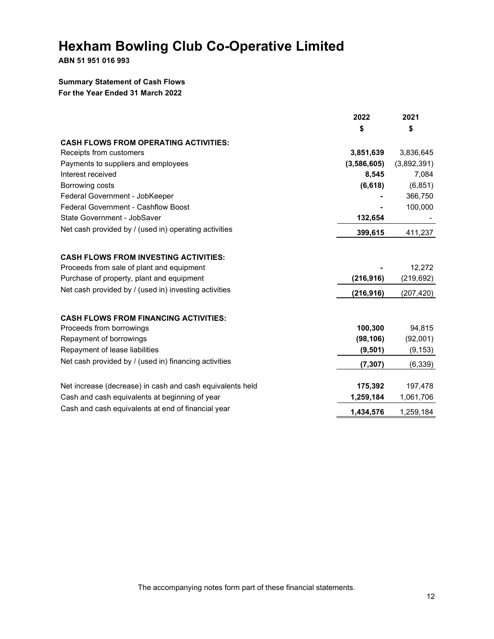**ABN 51 951 016 993**

## **Summary Statement of Cash Flows For the Year Ended 31 March 2022**

|                                                           | 2022        | 2021        |
|-----------------------------------------------------------|-------------|-------------|
|                                                           | \$          | \$          |
| <b>CASH FLOWS FROM OPERATING ACTIVITIES:</b>              |             |             |
| Receipts from customers                                   | 3,851,639   | 3,836,645   |
| Payments to suppliers and employees                       | (3,586,605) | (3,892,391) |
| Interest received                                         | 8,545       | 7,084       |
| Borrowing costs                                           | (6, 618)    | (6, 851)    |
| Federal Government - JobKeeper                            |             | 366,750     |
| <b>Federal Government - Cashflow Boost</b>                |             | 100,000     |
| State Government - JobSaver                               | 132,654     |             |
| Net cash provided by / (used in) operating activities     | 399,615     | 411,237     |
| <b>CASH FLOWS FROM INVESTING ACTIVITIES:</b>              |             |             |
| Proceeds from sale of plant and equipment                 |             | 12,272      |
| Purchase of property, plant and equipment                 | (216, 916)  | (219, 692)  |
|                                                           |             |             |
| Net cash provided by / (used in) investing activities     | (216, 916)  | (207, 420)  |
| <b>CASH FLOWS FROM FINANCING ACTIVITIES:</b>              |             |             |
| Proceeds from borrowings                                  | 100,300     | 94,815      |
| Repayment of borrowings                                   | (98, 106)   | (92,001)    |
| Repayment of lease liabilities                            | (9, 501)    | (9, 153)    |
| Net cash provided by / (used in) financing activities     | (7, 307)    | (6, 339)    |
|                                                           |             |             |
| Net increase (decrease) in cash and cash equivalents held | 175,392     | 197,478     |
| Cash and cash equivalents at beginning of year            | 1,259,184   | 1,061,706   |
| Cash and cash equivalents at end of financial year        | 1,434,576   | 1,259,184   |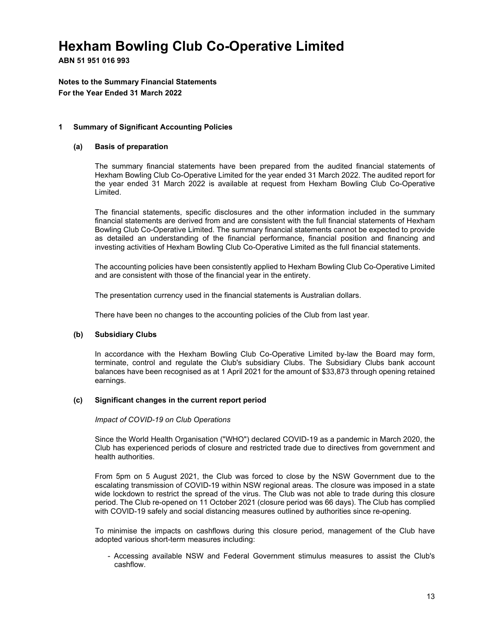**ABN 51 951 016 993**

**Notes to the Summary Financial Statements For the Year Ended 31 March 2022** 

## **1 Summary of Significant Accounting Policies**

### **(a) Basis of preparation**

The summary financial statements have been prepared from the audited financial statements of Hexham Bowling Club Co-Operative Limited for the year ended 31 March 2022. The audited report for the year ended 31 March 2022 is available at request from Hexham Bowling Club Co-Operative Limited.

The financial statements, specific disclosures and the other information included in the summary financial statements are derived from and are consistent with the full financial statements of Hexham Bowling Club Co-Operative Limited. The summary financial statements cannot be expected to provide as detailed an understanding of the financial performance, financial position and financing and investing activities of Hexham Bowling Club Co-Operative Limited as the full financial statements.

The accounting policies have been consistently applied to Hexham Bowling Club Co-Operative Limited and are consistent with those of the financial year in the entirety.

The presentation currency used in the financial statements is Australian dollars.

There have been no changes to the accounting policies of the Club from last year.

## **(b) Subsidiary Clubs**

In accordance with the Hexham Bowling Club Co-Operative Limited by-law the Board may form, terminate, control and regulate the Club's subsidiary Clubs. The Subsidiary Clubs bank account balances have been recognised as at 1 April 2021 for the amount of \$33,873 through opening retained earnings.

## **(c) Significant changes in the current report period**

#### *Impact of COVID-19 on Club Operations*

Since the World Health Organisation ("WHO") declared COVID-19 as a pandemic in March 2020, the Club has experienced periods of closure and restricted trade due to directives from government and health authorities.

From 5pm on 5 August 2021, the Club was forced to close by the NSW Government due to the escalating transmission of COVID-19 within NSW regional areas. The closure was imposed in a state wide lockdown to restrict the spread of the virus. The Club was not able to trade during this closure period. The Club re-opened on 11 October 2021 (closure period was 66 days). The Club has complied with COVID-19 safely and social distancing measures outlined by authorities since re-opening.

To minimise the impacts on cashflows during this closure period, management of the Club have adopted various short-term measures including:

- Accessing available NSW and Federal Government stimulus measures to assist the Club's cashflow.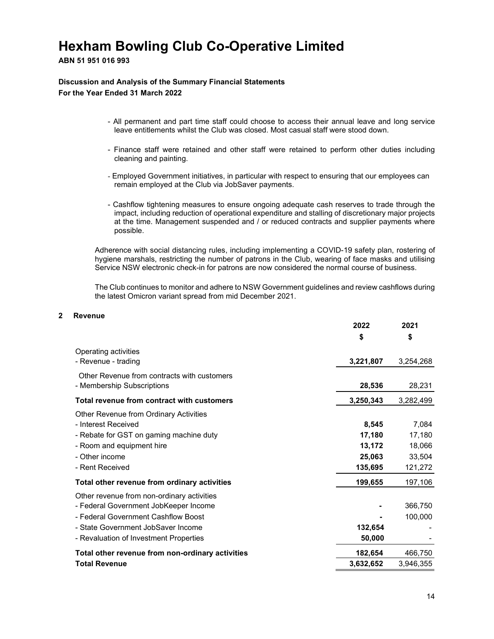## **ABN 51 951 016 993**

## **Discussion and Analysis of the Summary Financial Statements For the Year Ended 31 March 2022**

- All permanent and part time staff could choose to access their annual leave and long service leave entitlements whilst the Club was closed. Most casual staff were stood down.
- Finance staff were retained and other staff were retained to perform other duties including cleaning and painting.
- Employed Government initiatives, in particular with respect to ensuring that our employees can remain employed at the Club via JobSaver payments.
- Cashflow tightening measures to ensure ongoing adequate cash reserves to trade through the impact, including reduction of operational expenditure and stalling of discretionary major projects at the time. Management suspended and / or reduced contracts and supplier payments where possible.

Adherence with social distancing rules, including implementing a COVID-19 safety plan, rostering of hygiene marshals, restricting the number of patrons in the Club, wearing of face masks and utilising Service NSW electronic check-in for patrons are now considered the normal course of business.

The Club continues to monitor and adhere to NSW Government guidelines and review cashflows during the latest Omicron variant spread from mid December 2021.

#### **2 Revenue**

|                                                                                                                                                                                                            | 2022                      | 2021                      |
|------------------------------------------------------------------------------------------------------------------------------------------------------------------------------------------------------------|---------------------------|---------------------------|
|                                                                                                                                                                                                            | \$                        | \$                        |
| Operating activities<br>- Revenue - trading                                                                                                                                                                | 3,221,807                 | 3,254,268                 |
| Other Revenue from contracts with customers<br>- Membership Subscriptions                                                                                                                                  | 28,536                    | 28,231                    |
| Total revenue from contract with customers                                                                                                                                                                 | 3,250,343                 | 3,282,499                 |
| Other Revenue from Ordinary Activities<br>- Interest Received<br>- Rebate for GST on gaming machine duty<br>- Room and equipment hire                                                                      | 8,545<br>17,180<br>13,172 | 7,084<br>17,180<br>18,066 |
| - Other income<br>- Rent Received                                                                                                                                                                          | 25,063<br>135,695         | 33,504<br>121,272         |
| Total other revenue from ordinary activities                                                                                                                                                               | 199,655                   | 197,106                   |
| Other revenue from non-ordinary activities<br>- Federal Government JobKeeper Income<br>- Federal Government Cashflow Boost<br>- State Government JobSaver Income<br>- Revaluation of Investment Properties | 132,654<br>50,000         | 366,750<br>100,000        |
| Total other revenue from non-ordinary activities                                                                                                                                                           | 182,654                   | 466,750                   |
| <b>Total Revenue</b>                                                                                                                                                                                       | 3,632,652                 | 3,946,355                 |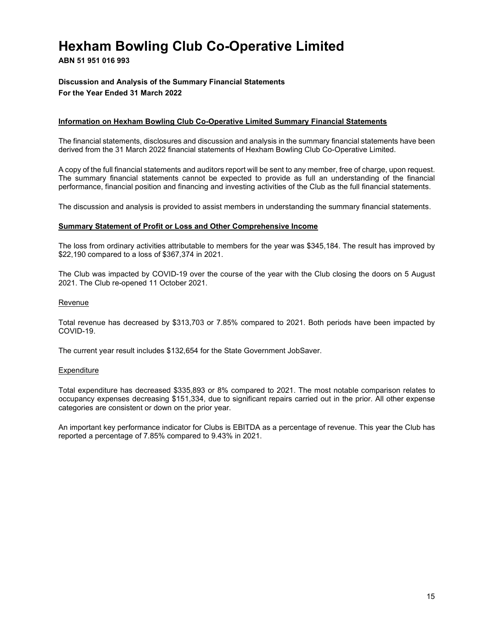## **ABN 51 951 016 993**

## **Discussion and Analysis of the Summary Financial Statements For the Year Ended 31 March 2022**

### **Information on Hexham Bowling Club Co-Operative Limited Summary Financial Statements**

The financial statements, disclosures and discussion and analysis in the summary financial statements have been derived from the 31 March 2022 financial statements of Hexham Bowling Club Co-Operative Limited.

A copy of the full financial statements and auditors report will be sent to any member, free of charge, upon request. The summary financial statements cannot be expected to provide as full an understanding of the financial performance, financial position and financing and investing activities of the Club as the full financial statements.

The discussion and analysis is provided to assist members in understanding the summary financial statements.

#### **Summary Statement of Profit or Loss and Other Comprehensive Income**

The loss from ordinary activities attributable to members for the year was \$345,184. The result has improved by \$22,190 compared to a loss of \$367,374 in 2021.

The Club was impacted by COVID-19 over the course of the year with the Club closing the doors on 5 August 2021. The Club re-opened 11 October 2021.

#### Revenue

Total revenue has decreased by \$313,703 or 7.85% compared to 2021. Both periods have been impacted by COVID-19.

The current year result includes \$132,654 for the State Government JobSaver.

#### Expenditure

Total expenditure has decreased \$335,893 or 8% compared to 2021. The most notable comparison relates to occupancy expenses decreasing \$151,334, due to significant repairs carried out in the prior. All other expense categories are consistent or down on the prior year.

An important key performance indicator for Clubs is EBITDA as a percentage of revenue. This year the Club has reported a percentage of 7.85% compared to 9.43% in 2021.